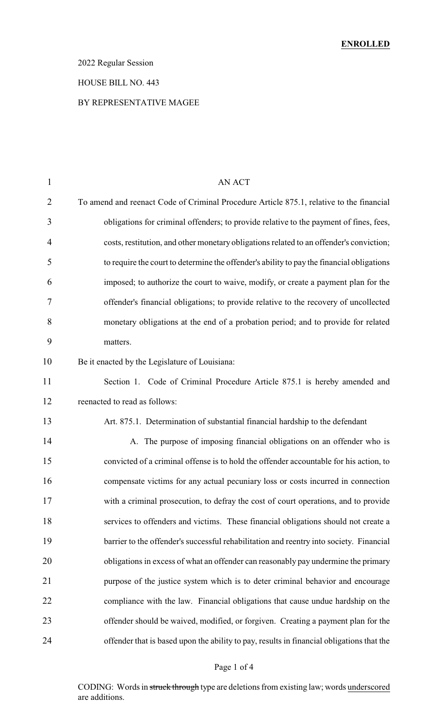### 2022 Regular Session

#### HOUSE BILL NO. 443

### BY REPRESENTATIVE MAGEE

| 1              | <b>AN ACT</b>                                                                             |
|----------------|-------------------------------------------------------------------------------------------|
| $\overline{2}$ | To amend and reenact Code of Criminal Procedure Article 875.1, relative to the financial  |
| 3              | obligations for criminal offenders; to provide relative to the payment of fines, fees,    |
| 4              | costs, restitution, and other monetary obligations related to an offender's conviction;   |
| 5              | to require the court to determine the offender's ability to pay the financial obligations |
| 6              | imposed; to authorize the court to waive, modify, or create a payment plan for the        |
| 7              | offender's financial obligations; to provide relative to the recovery of uncollected      |
| 8              | monetary obligations at the end of a probation period; and to provide for related         |
| 9              | matters.                                                                                  |
| 10             | Be it enacted by the Legislature of Louisiana:                                            |
| 11             | Section 1. Code of Criminal Procedure Article 875.1 is hereby amended and                 |
| 12             | reenacted to read as follows:                                                             |
| 13             | Art. 875.1. Determination of substantial financial hardship to the defendant              |
| 14             | A. The purpose of imposing financial obligations on an offender who is                    |
| 15             | convicted of a criminal offense is to hold the offender accountable for his action, to    |
| 16             | compensate victims for any actual pecuniary loss or costs incurred in connection          |
| 17             | with a criminal prosecution, to defray the cost of court operations, and to provide       |
| 18             | services to offenders and victims. These financial obligations should not create a        |
| 19             | barrier to the offender's successful rehabilitation and reentry into society. Financial   |
| 20             | obligations in excess of what an offender can reasonably pay undermine the primary        |
| 21             | purpose of the justice system which is to deter criminal behavior and encourage           |
| 22             | compliance with the law. Financial obligations that cause undue hardship on the           |
| 23             | offender should be waived, modified, or forgiven. Creating a payment plan for the         |
| 24             | offender that is based upon the ability to pay, results in financial obligations that the |
|                |                                                                                           |

### Page 1 of 4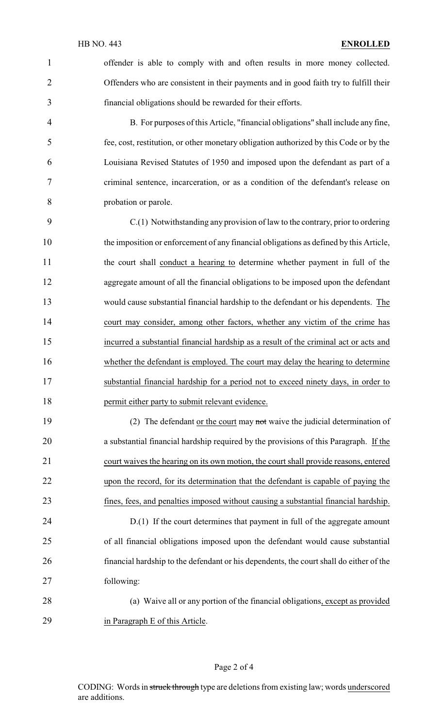offender is able to comply with and often results in more money collected. Offenders who are consistent in their payments and in good faith try to fulfill their financial obligations should be rewarded for their efforts.

 B. For purposes of this Article, "financial obligations" shall include any fine, fee, cost, restitution, or other monetary obligation authorized by this Code or by the Louisiana Revised Statutes of 1950 and imposed upon the defendant as part of a criminal sentence, incarceration, or as a condition of the defendant's release on probation or parole.

 C.(1) Notwithstanding any provision of law to the contrary, prior to ordering the imposition or enforcement of any financial obligations as defined by this Article, the court shall conduct a hearing to determine whether payment in full of the aggregate amount of all the financial obligations to be imposed upon the defendant would cause substantial financial hardship to the defendant or his dependents. The court may consider, among other factors, whether any victim of the crime has incurred a substantial financial hardship as a result of the criminal act or acts and 16 whether the defendant is employed. The court may delay the hearing to determine substantial financial hardship for a period not to exceed ninety days, in order to permit either party to submit relevant evidence.

19 (2) The defendant or the court may not waive the judicial determination of a substantial financial hardship required by the provisions of this Paragraph. If the court waives the hearing on its own motion, the court shall provide reasons, entered upon the record, for its determination that the defendant is capable of paying the fines, fees, and penalties imposed without causing a substantial financial hardship.

 D.(1) If the court determines that payment in full of the aggregate amount of all financial obligations imposed upon the defendant would cause substantial financial hardship to the defendant or his dependents, the court shall do either of the following:

 (a) Waive all or any portion of the financial obligations, except as provided in Paragraph E of this Article.

#### Page 2 of 4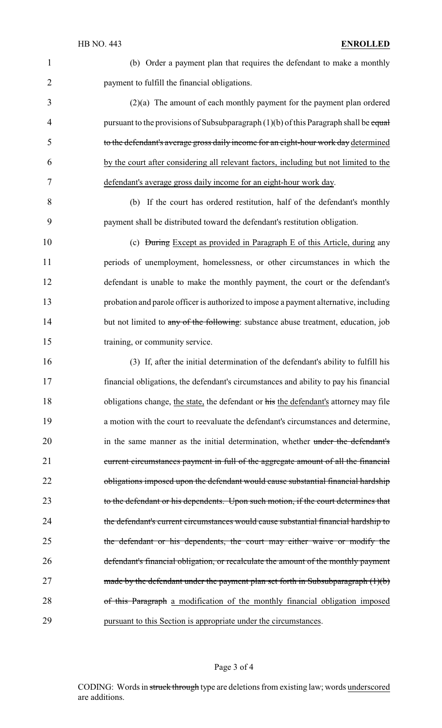(b) Order a payment plan that requires the defendant to make a monthly payment to fulfill the financial obligations.

 (2)(a) The amount of each monthly payment for the payment plan ordered 4 pursuant to the provisions of Subsubparagraph  $(1)(b)$  of this Paragraph shall be equal to the defendant's average gross daily income for an eight-hour work day determined by the court after considering all relevant factors, including but not limited to the defendant's average gross daily income for an eight-hour work day.

 (b) If the court has ordered restitution, half of the defendant's monthly payment shall be distributed toward the defendant's restitution obligation.

 (c) During Except as provided in Paragraph E of this Article, during any periods of unemployment, homelessness, or other circumstances in which the defendant is unable to make the monthly payment, the court or the defendant's probation and parole officer is authorized to impose a payment alternative, including 14 but not limited to any of the following: substance abuse treatment, education, job 15 training, or community service.

 (3) If, after the initial determination of the defendant's ability to fulfill his financial obligations, the defendant's circumstances and ability to pay his financial 18 obligations change, the state, the defendant or his the defendant's attorney may file a motion with the court to reevaluate the defendant's circumstances and determine, 20 in the same manner as the initial determination, whether under the defendant's current circumstances payment in full of the aggregate amount of all the financial 22 obligations imposed upon the defendant would cause substantial financial hardship 23 to the defendant or his dependents. Upon such motion, if the court determines that the defendant's current circumstances would cause substantial financial hardship to the defendant or his dependents, the court may either waive or modify the defendant's financial obligation, or recalculate the amount of the monthly payment 27 made by the defendant under the payment plan set forth in Subsubparagraph (1)(b) 28 of this Paragraph a modification of the monthly financial obligation imposed pursuant to this Section is appropriate under the circumstances.

#### Page 3 of 4